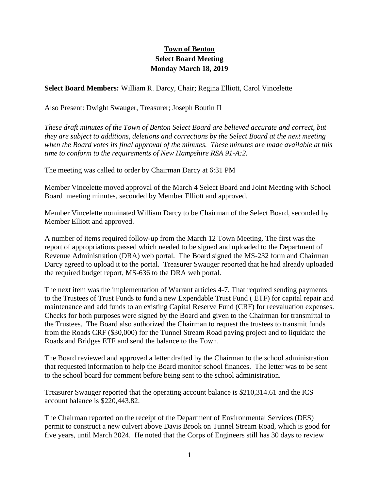## **Town of Benton Select Board Meeting Monday March 18, 2019**

**Select Board Members:** William R. Darcy, Chair; Regina Elliott, Carol Vincelette

Also Present: Dwight Swauger, Treasurer; Joseph Boutin II

*These draft minutes of the Town of Benton Select Board are believed accurate and correct, but they are subject to additions, deletions and corrections by the Select Board at the next meeting when the Board votes its final approval of the minutes. These minutes are made available at this time to conform to the requirements of New Hampshire RSA 91-A:2.*

The meeting was called to order by Chairman Darcy at 6:31 PM

Member Vincelette moved approval of the March 4 Select Board and Joint Meeting with School Board meeting minutes, seconded by Member Elliott and approved.

Member Vincelette nominated William Darcy to be Chairman of the Select Board, seconded by Member Elliott and approved.

A number of items required follow-up from the March 12 Town Meeting. The first was the report of appropriations passed which needed to be signed and uploaded to the Department of Revenue Administration (DRA) web portal. The Board signed the MS-232 form and Chairman Darcy agreed to upload it to the portal. Treasurer Swauger reported that he had already uploaded the required budget report, MS-636 to the DRA web portal.

The next item was the implementation of Warrant articles 4-7. That required sending payments to the Trustees of Trust Funds to fund a new Expendable Trust Fund ( ETF) for capital repair and maintenance and add funds to an existing Capital Reserve Fund (CRF) for reevaluation expenses. Checks for both purposes were signed by the Board and given to the Chairman for transmittal to the Trustees. The Board also authorized the Chairman to request the trustees to transmit funds from the Roads CRF (\$30,000) for the Tunnel Stream Road paving project and to liquidate the Roads and Bridges ETF and send the balance to the Town.

The Board reviewed and approved a letter drafted by the Chairman to the school administration that requested information to help the Board monitor school finances. The letter was to be sent to the school board for comment before being sent to the school administration.

Treasurer Swauger reported that the operating account balance is \$210,314.61 and the ICS account balance is \$220,443.82.

The Chairman reported on the receipt of the Department of Environmental Services (DES) permit to construct a new culvert above Davis Brook on Tunnel Stream Road, which is good for five years, until March 2024. He noted that the Corps of Engineers still has 30 days to review